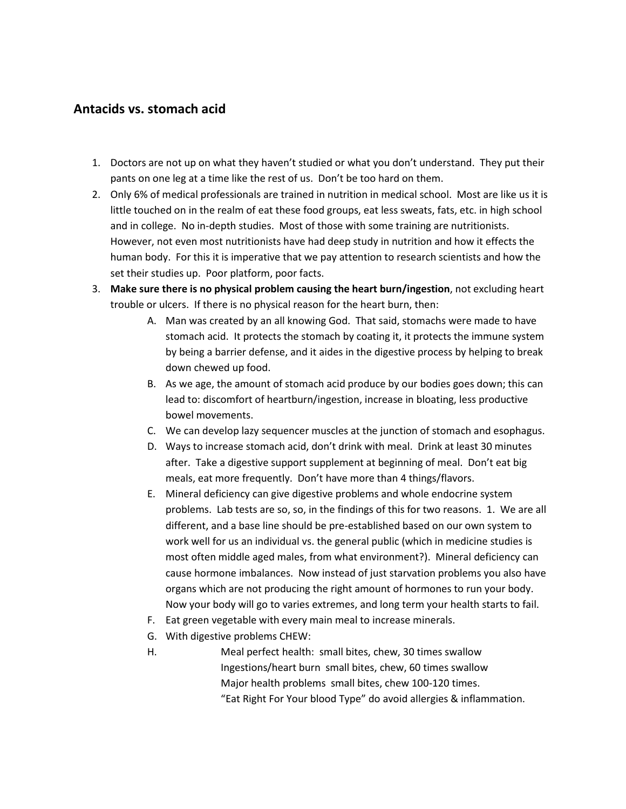# **Antacids vs. stomach acid**

- 1. Doctors are not up on what they haven't studied or what you don't understand. They put their pants on one leg at a time like the rest of us. Don't be too hard on them.
- 2. Only 6% of medical professionals are trained in nutrition in medical school. Most are like us it is little touched on in the realm of eat these food groups, eat less sweats, fats, etc. in high school and in college. No in-depth studies. Most of those with some training are nutritionists. However, not even most nutritionists have had deep study in nutrition and how it effects the human body. For this it is imperative that we pay attention to research scientists and how the set their studies up. Poor platform, poor facts.
- 3. **Make sure there is no physical problem causing the heart burn/ingestion**, not excluding heart trouble or ulcers. If there is no physical reason for the heart burn, then:
	- A. Man was created by an all knowing God. That said, stomachs were made to have stomach acid. It protects the stomach by coating it, it protects the immune system by being a barrier defense, and it aides in the digestive process by helping to break down chewed up food.
	- B. As we age, the amount of stomach acid produce by our bodies goes down; this can lead to: discomfort of heartburn/ingestion, increase in bloating, less productive bowel movements.
	- C. We can develop lazy sequencer muscles at the junction of stomach and esophagus.
	- D. Ways to increase stomach acid, don't drink with meal. Drink at least 30 minutes after. Take a digestive support supplement at beginning of meal. Don't eat big meals, eat more frequently. Don't have more than 4 things/flavors.
	- E. Mineral deficiency can give digestive problems and whole endocrine system problems. Lab tests are so, so, in the findings of this for two reasons. 1. We are all different, and a base line should be pre-established based on our own system to work well for us an individual vs. the general public (which in medicine studies is most often middle aged males, from what environment?). Mineral deficiency can cause hormone imbalances. Now instead of just starvation problems you also have organs which are not producing the right amount of hormones to run your body. Now your body will go to varies extremes, and long term your health starts to fail.
	- F. Eat green vegetable with every main meal to increase minerals.
	- G. With digestive problems CHEW:
	- H. Meal perfect health: small bites, chew, 30 times swallow Ingestions/heart burn small bites, chew, 60 times swallow Major health problems small bites, chew 100-120 times. "Eat Right For Your blood Type" do avoid allergies & inflammation.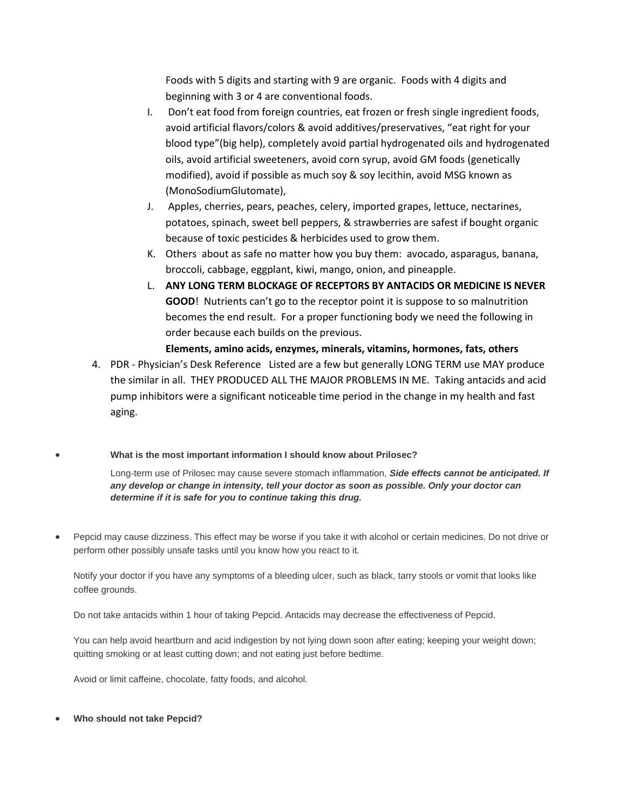Foods with 5 digits and starting with 9 are organic. Foods with 4 digits and beginning with 3 or 4 are conventional foods.

- I. Don't eat food from foreign countries, eat frozen or fresh single ingredient foods, avoid artificial flavors/colors & avoid additives/preservatives, "eat right for your blood type"(big help), completely avoid partial hydrogenated oils and hydrogenated oils, avoid artificial sweeteners, avoid corn syrup, avoid GM foods (genetically modified), avoid if possible as much soy & soy lecithin, avoid MSG known as (MonoSodiumGlutomate),
- J. Apples, cherries, pears, peaches, celery, imported grapes, lettuce, nectarines, potatoes, spinach, sweet bell peppers, & strawberries are safest if bought organic because of toxic pesticides & herbicides used to grow them.
- K. Others about as safe no matter how you buy them: avocado, asparagus, banana, broccoli, cabbage, eggplant, kiwi, mango, onion, and pineapple.
- L. **ANY LONG TERM BLOCKAGE OF RECEPTORS BY ANTACIDS OR MEDICINE IS NEVER GOOD**! Nutrients can't go to the receptor point it is suppose to so malnutrition becomes the end result.For a proper functioning body we need the following in order because each builds on the previous.
- **Elements, amino acids, enzymes, minerals, vitamins, hormones, fats, others** 4. PDR - Physician's Desk Reference Listed are a few but generally LONG TERM use MAY produce the similar in all. THEY PRODUCED ALL THE MAJOR PROBLEMS IN ME. Taking antacids and acid pump inhibitors were a significant noticeable time period in the change in my health and fast aging.
- **What is the most important information I should know about Prilosec?**

Long-term use of Prilosec may cause severe stomach inflammation, *Side effects cannot be anticipated. If any develop or change in intensity, tell your doctor as soon as possible. Only your doctor can determine if it is safe for you to continue taking this drug.*

 Pepcid may cause dizziness. This effect may be worse if you take it with alcohol or certain medicines. Do not drive or perform other possibly unsafe tasks until you know how you react to it.

Notify your doctor if you have any symptoms of a bleeding ulcer, such as black, tarry stools or vomit that looks like coffee grounds.

Do not take antacids within 1 hour of taking Pepcid. Antacids may decrease the effectiveness of Pepcid.

You can help avoid heartburn and acid indigestion by not lying down soon after eating; keeping your weight down; quitting smoking or at least cutting down; and not eating just before bedtime.

Avoid or limit caffeine, chocolate, fatty foods, and alcohol.

**Who should not take Pepcid?**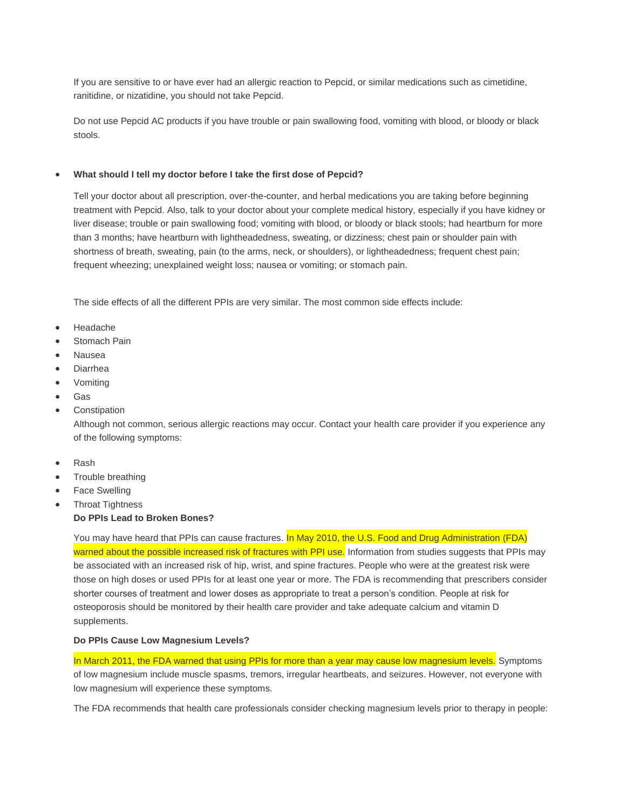If you are sensitive to or have ever had an allergic reaction to Pepcid, or similar medications such as cimetidine, ranitidine, or nizatidine, you should not take Pepcid.

Do not use Pepcid AC products if you have trouble or pain swallowing food, vomiting with blood, or bloody or black stools.

#### **What should I tell my doctor before I take the first dose of Pepcid?**

Tell your doctor about all prescription, over-the-counter, and herbal medications you are taking before beginning treatment with Pepcid. Also, talk to your doctor about your complete medical history, especially if you have kidney or liver disease; trouble or pain swallowing food; vomiting with blood, or bloody or black stools; had heartburn for more than 3 months; have heartburn with lightheadedness, sweating, or dizziness; chest pain or shoulder pain with shortness of breath, sweating, pain (to the arms, neck, or shoulders), or lightheadedness; frequent chest pain; frequent wheezing; unexplained weight loss; nausea or vomiting; or stomach pain.

The side effects of all the different PPIs are very similar. The most common side effects include:

- Headache
- Stomach Pain
- Nausea
- Diarrhea
- Vomiting
- Gas
- Constipation

Although not common, serious allergic reactions may occur. Contact your health care provider if you experience any of the following symptoms:

- Rash
- Trouble breathing
- Face Swelling
- Throat Tightness

## **Do PPIs Lead to Broken Bones?**

You may have heard that PPIs can cause fractures. In May 2010, the U.S. Food and Drug Administration (FDA) warned about the possible increased risk of fractures with PPI use. Information from studies suggests that PPIs may be associated with an increased risk of hip, wrist, and spine fractures. People who were at the greatest risk were those on high doses or used PPIs for at least one year or more. The FDA is recommending that prescribers consider shorter courses of treatment and lower doses as appropriate to treat a person's condition. People at risk for osteoporosis should be monitored by their health care provider and take adequate calcium and vitamin D supplements.

### **Do PPIs Cause Low Magnesium Levels?**

In March 2011, the FDA warned that using PPIs for more than a year may cause low magnesium levels. Symptoms of low magnesium include muscle spasms, tremors, irregular heartbeats, and seizures. However, not everyone with low magnesium will experience these symptoms.

The FDA recommends that health care professionals consider checking magnesium levels prior to therapy in people: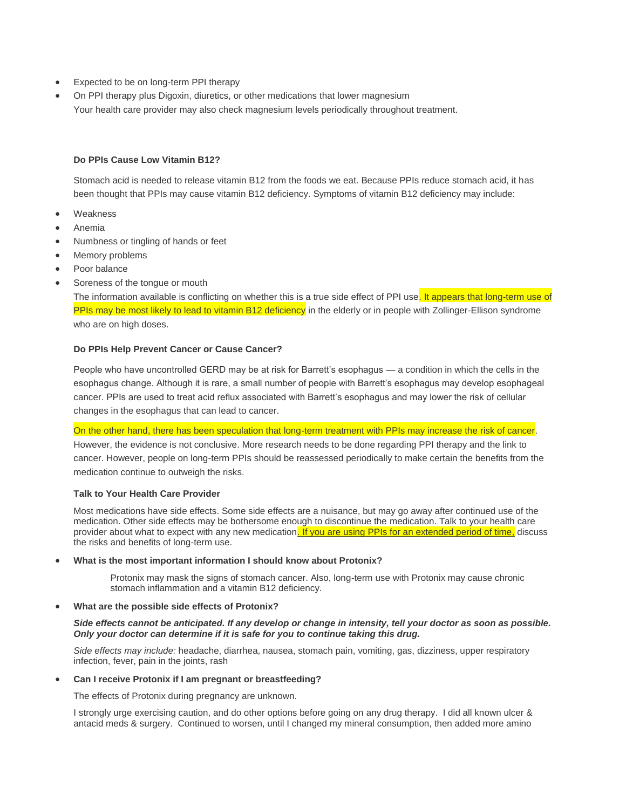- Expected to be on long-term PPI therapy
- On PPI therapy plus Digoxin, diuretics, or other medications that lower magnesium Your health care provider may also check magnesium levels periodically throughout treatment.

# **Do PPIs Cause Low Vitamin B12?**

Stomach acid is needed to release vitamin B12 from the foods we eat. Because PPIs reduce stomach acid, it has been thought that PPIs may cause vitamin B12 deficiency. Symptoms of vitamin B12 deficiency may include:

- Weakness
- Anemia
- Numbness or tingling of hands or feet
- Memory problems
- Poor balance
- Soreness of the tongue or mouth

The information available is conflicting on whether this is a true side effect of PPI use. It appears that long-term use of PPIs may be most likely to lead to vitamin B12 deficiency in the elderly or in people with Zollinger-Ellison syndrome who are on high doses.

#### **Do PPIs Help Prevent Cancer or Cause Cancer?**

People who have uncontrolled GERD may be at risk for Barrett's esophagus — a condition in which the cells in the esophagus change. Although it is rare, a small number of people with Barrett's esophagus may develop esophageal cancer. PPIs are used to treat acid reflux associated with Barrett's esophagus and may lower the risk of cellular changes in the esophagus that can lead to cancer.

On the other hand, there has been speculation that long-term treatment with PPIs may increase the risk of cancer. However, the evidence is not conclusive. More research needs to be done regarding PPI therapy and the link to cancer. However, people on long-term PPIs should be reassessed periodically to make certain the benefits from the medication continue to outweigh the risks.

# **Talk to Your Health Care Provider**

Most medications have side effects. Some side effects are a nuisance, but may go away after continued use of the medication. Other side effects may be bothersome enough to discontinue the medication. Talk to your health care provider about what to expect with any new medication. If you are using PPIs for an extended period of time, discuss the risks and benefits of long-term use.

#### **What is the most important information I should know about Protonix?**

Protonix may mask the signs of stomach cancer. Also, long-term use with Protonix may cause chronic stomach inflammation and a vitamin B12 deficiency.

#### **What are the possible side effects of Protonix?**

*Side effects cannot be anticipated. If any develop or change in intensity, tell your doctor as soon as possible. Only your doctor can determine if it is safe for you to continue taking this drug.*

*Side effects may include:* headache, diarrhea, nausea, stomach pain, vomiting, gas, dizziness, upper respiratory infection, fever, pain in the joints, rash

#### **Can I receive Protonix if I am pregnant or breastfeeding?**

The effects of Protonix during pregnancy are unknown.

I strongly urge exercising caution, and do other options before going on any drug therapy. I did all known ulcer & antacid meds & surgery. Continued to worsen, until I changed my mineral consumption, then added more amino